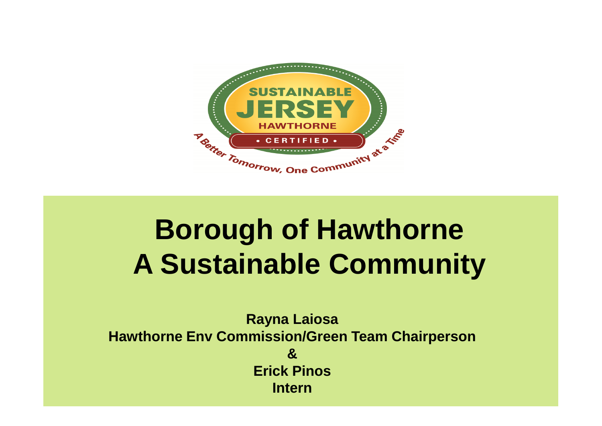

# **Borough of Hawthorne A Sustainable Community**

**Rayna Laiosa Hawthorne Env Commission/Green Team Chairperson & Erick Pinos Intern**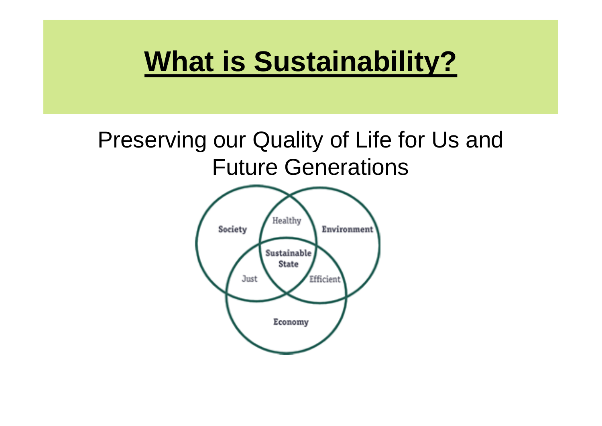#### **What is Sustainability?**

#### Preserving our Quality of Life for Us and Future Generations

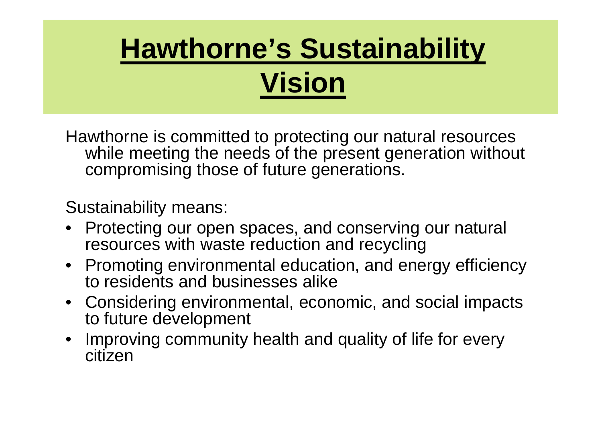# **Hawthorne's Sustainability Vision**

Hawthorne is committed to protecting our natural resources while meeting the needs of the present generation without compromising those of future generations.

Sustainability means:

- Protecting our open spaces, and conserving our natural resources with waste reduction and recycling
- Promoting environmental education, and energy efficiency to residents and businesses alike
- Considering environmental, economic, and social impacts to future development
- Improving community health and quality of life for every citizen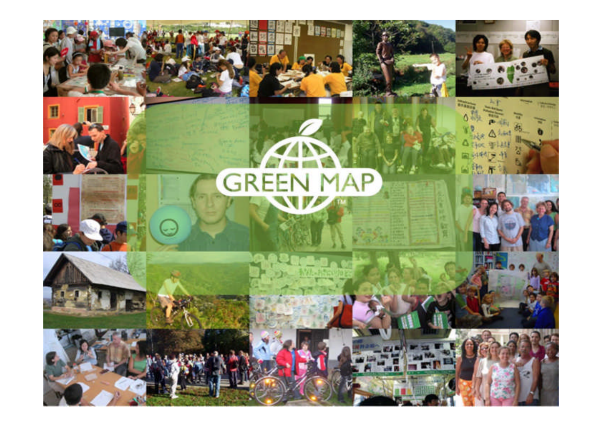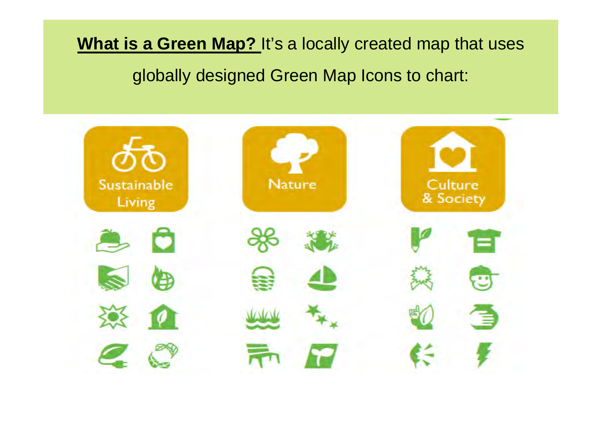**What is a Green Map?** It's a locally created map that uses globally designed Green Map Icons to chart:

| ので<br>Sustainable<br>Living | <b>Nature</b> | Culture<br>& Society |
|-----------------------------|---------------|----------------------|
| О<br>٣                      |               | =                    |
| 7 D                         | $\sim$        | æ                    |
|                             |               |                      |
|                             |               |                      |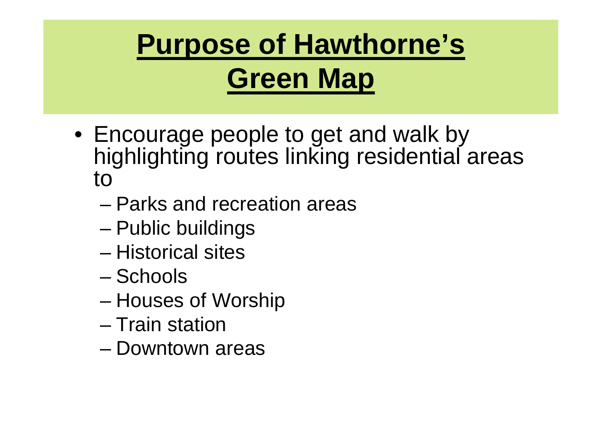

- Encourage people to get and walk by highlighting routes linking residential areas to
	- Parks and recreation areas
	- Public buildings
	- Historical sites
	- Schools
	- Houses of Worship
	- Train station
	- Downtown areas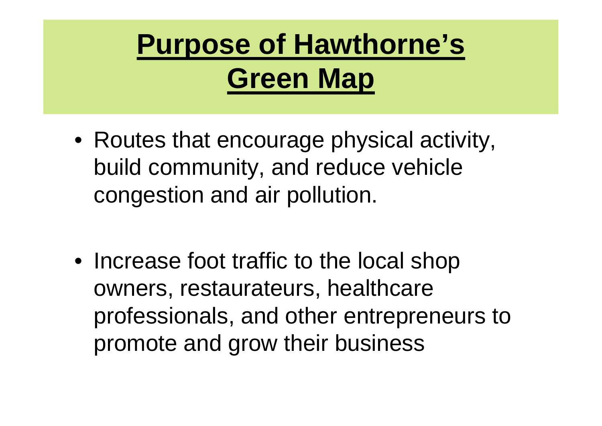

- Routes that encourage physical activity, build community, and reduce vehicle congestion and air pollution.
- Increase foot traffic to the local shop owners, restaurateurs, healthcare professionals, and other entrepreneurs to promote and grow their business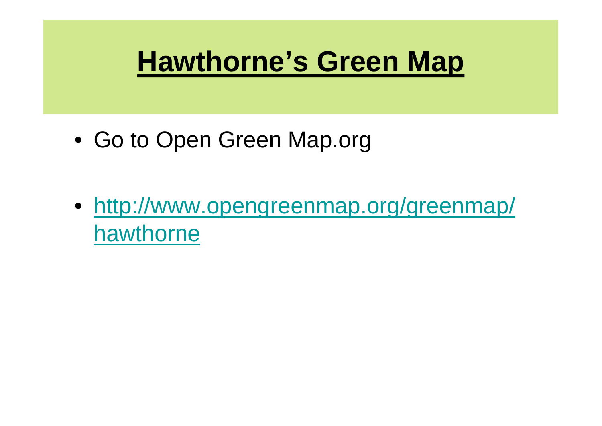#### **Hawthorne's Green Map**

- Go to Open Green Map.org
- http://www.opengreenmap.org/greenmap/ hawthorne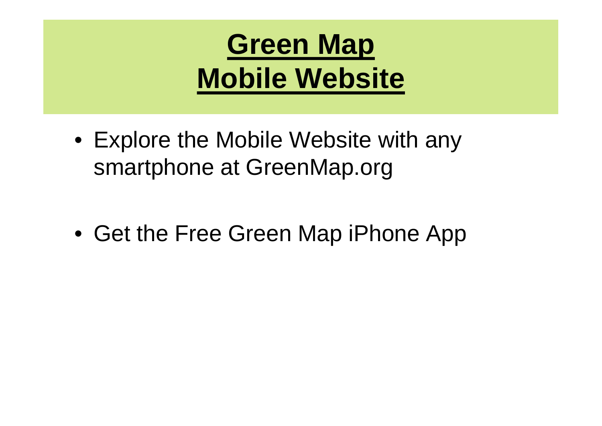

- Explore the Mobile Website with any smartphone at GreenMap.org
- Get the Free Green Map iPhone App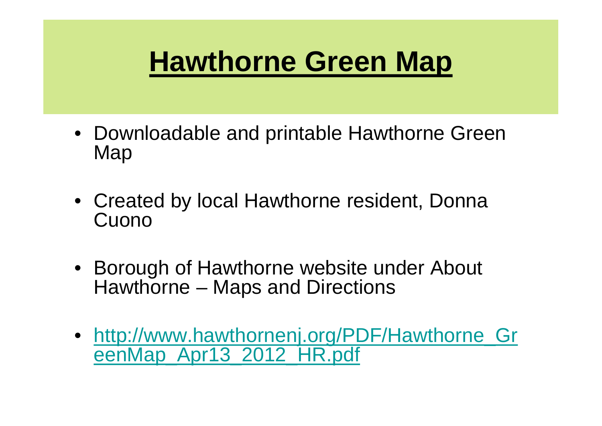### **Hawthorne Green Map**

- Downloadable and printable Hawthorne Green Map
- Created by local Hawthorne resident, Donna Cuono
- Borough of Hawthorne website under About Hawthorne – Maps and Directions
- http://www.hawthornenj.org/PDF/Hawthorne\_Gr eenMap\_Apr13\_2012\_HR.pdf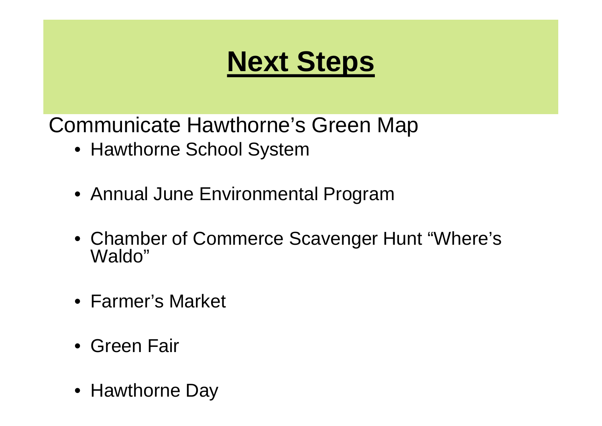# **Next Steps**

Communicate Hawthorne's Green Map

- Hawthorne School System
- Annual June Environmental Program
- Chamber of Commerce Scavenger Hunt "Where's Waldo"
- Farmer's Market
- Green Fair
- Hawthorne Day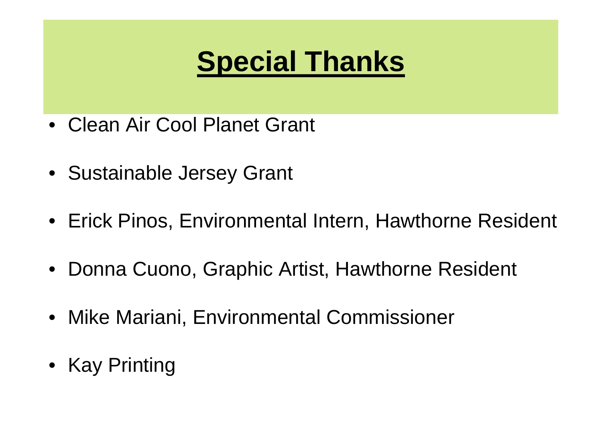# **Special Thanks**

- Clean Air Cool Planet Grant
- Sustainable Jersey Grant
- Erick Pinos, Environmental Intern, Hawthorne Resident
- Donna Cuono, Graphic Artist, Hawthorne Resident
- Mike Mariani, Environmental Commissioner
- Kay Printing